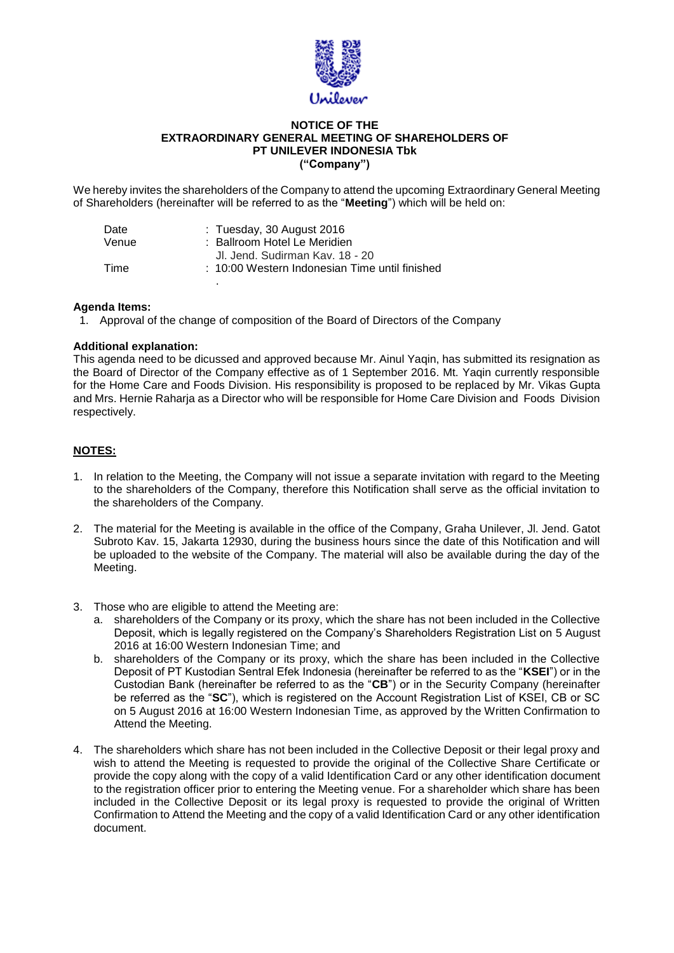

## **NOTICE OF THE EXTRAORDINARY GENERAL MEETING OF SHAREHOLDERS OF PT UNILEVER INDONESIA Tbk ("Company")**

We hereby invites the shareholders of the Company to attend the upcoming Extraordinary General Meeting of Shareholders (hereinafter will be referred to as the "**Meeting**") which will be held on:

| Date  | $:$ Tuesday, 30 August 2016                    |
|-------|------------------------------------------------|
| Venue | : Ballroom Hotel Le Meridien                   |
|       | Jl. Jend. Sudirman Kav. 18 - 20                |
| Time  | : 10:00 Western Indonesian Time until finished |
|       |                                                |

## **Agenda Items:**

1. Approval of the change of composition of the Board of Directors of the Company

## **Additional explanation:**

This agenda need to be dicussed and approved because Mr. Ainul Yaqin, has submitted its resignation as the Board of Director of the Company effective as of 1 September 2016. Mt. Yaqin currently responsible for the Home Care and Foods Division. His responsibility is proposed to be replaced by Mr. Vikas Gupta and Mrs. Hernie Raharja as a Director who will be responsible for Home Care Division and Foods Division respectively.

## **NOTES:**

- 1. In relation to the Meeting, the Company will not issue a separate invitation with regard to the Meeting to the shareholders of the Company, therefore this Notification shall serve as the official invitation to the shareholders of the Company.
- 2. The material for the Meeting is available in the office of the Company, Graha Unilever, Jl. Jend. Gatot Subroto Kav. 15, Jakarta 12930, during the business hours since the date of this Notification and will be uploaded to the website of the Company. The material will also be available during the day of the Meeting.
- 3. Those who are eligible to attend the Meeting are:
	- a. shareholders of the Company or its proxy, which the share has not been included in the Collective Deposit, which is legally registered on the Company's Shareholders Registration List on 5 August 2016 at 16:00 Western Indonesian Time; and
	- b. shareholders of the Company or its proxy, which the share has been included in the Collective Deposit of PT Kustodian Sentral Efek Indonesia (hereinafter be referred to as the "**KSEI**") or in the Custodian Bank (hereinafter be referred to as the "**CB**") or in the Security Company (hereinafter be referred as the "**SC**"), which is registered on the Account Registration List of KSEI, CB or SC on 5 August 2016 at 16:00 Western Indonesian Time, as approved by the Written Confirmation to Attend the Meeting.
- 4. The shareholders which share has not been included in the Collective Deposit or their legal proxy and wish to attend the Meeting is requested to provide the original of the Collective Share Certificate or provide the copy along with the copy of a valid Identification Card or any other identification document to the registration officer prior to entering the Meeting venue. For a shareholder which share has been included in the Collective Deposit or its legal proxy is requested to provide the original of Written Confirmation to Attend the Meeting and the copy of a valid Identification Card or any other identification document.